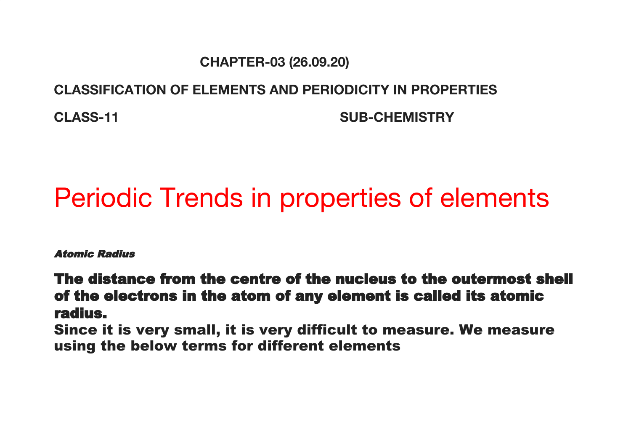#### **CHAPTER-03 (26.09.20)**

#### **CLASSIFICATION OF ELEMENTS AND PERIODICITY IN PROPERTIES**

**CLASS-11 SUB-CHEMISTRY**

# Periodic Trends in properties of elements

Atomic Radius

The distance from the centre of the nucleus to the outermost shell of the electrons in the atom of any element is called its atomic radius.

Since it is very small, it is very difficult to measure. We measure using the below terms for different elements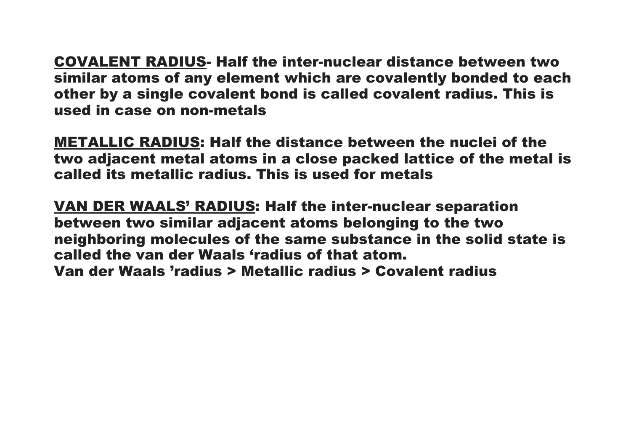COVALENT RADIUS- Half the inter-nuclear distance between two similar atoms of any element which are covalently bonded to each other by a single covalent bond is called covalent radius. This is used in case on non-metals

METALLIC RADIUS: Half the distance between the nuclei of the two adjacent metal atoms in a close packed lattice of the metal is called its metallic radius. This is used for metals

VAN DER WAALS' RADIUS: Half the inter-nuclear separation between two similar adjacent atoms belonging to the two neighboring molecules of the same substance in the solid state is called the van der Waals 'radius of that atom. Van der Waals 'radius > Metallic radius > Covalent radius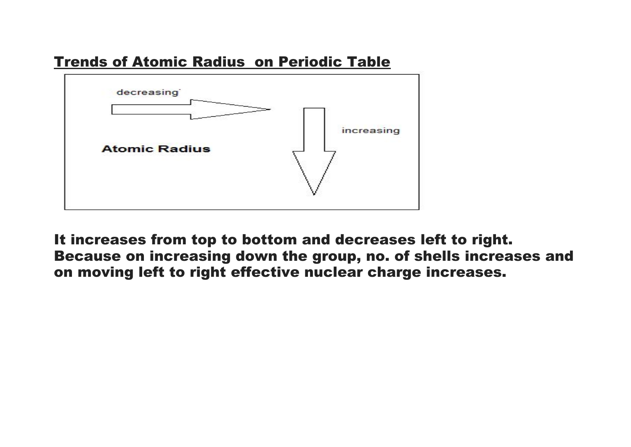



It increases from top to bottom and decreases left to right. Because on increasing down the group, no. of shells increases and on moving left to right effective nuclear charge increases.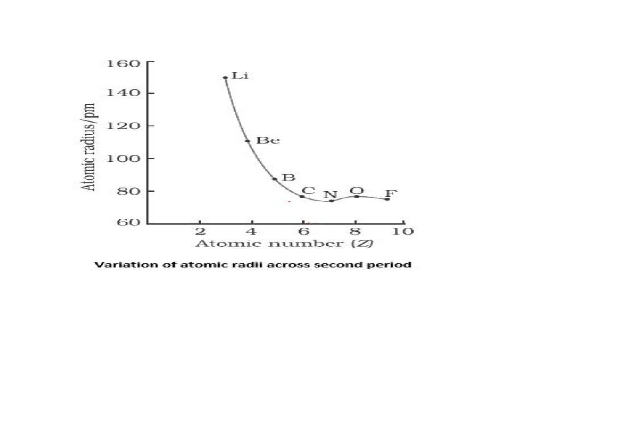

Variation of atomic radii across second period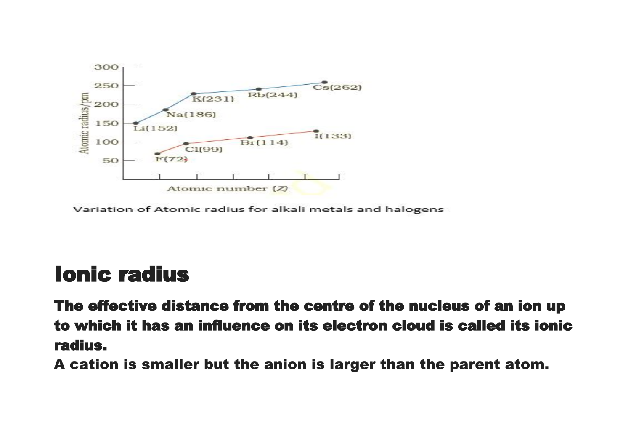

Variation of Atomic radius for alkali metals and halogens

### Ionic radius

The effective distance from the centre of the nucleus of an ion up to which it has an influence on its electron cloud is called its ionic radius.

A cation is smaller but the anion is larger than the parent atom.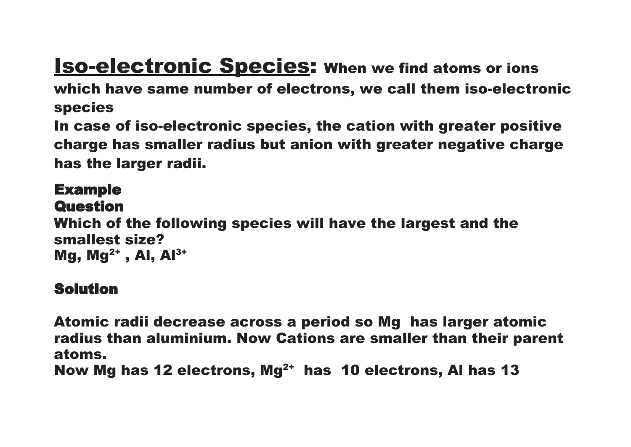# **Iso-electronic Species:** When we find atoms or ions

which have same number of electrons, we call them iso-electronic species

In case of iso-electronic species, the cation with greater positive charge has smaller radius but anion with greater negative charge has the larger radii.

### Example **Question** Which of the following species will have the largest and the smallest size? Mg, Mg<sup>2+</sup>, Al, Al<sup>3+</sup>

### Solution

Atomic radii decrease across a period so Mg has larger atomic radius than aluminium. Now Cations are smaller than their parent atoms.

Now Mg has 12 electrons, Mg 2+ has 10 electrons, Al has 13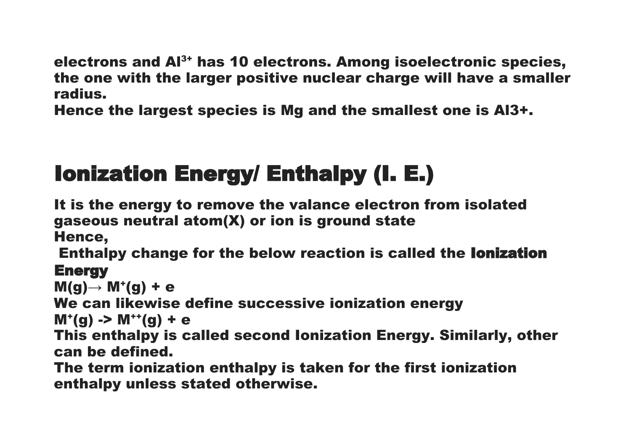electrons and Al 3+ has 10 electrons. Among isoelectronic species, the one with the larger positive nuclear charge will have a smaller radius.

Hence the largest species is Mg and the smallest one is Al3+.

# Ionization Energy/ Enthalpy (I. E.)

It is the energy to remove the valance electron from isolated gaseous neutral atom(X) or ion is ground state

Hence,

Enthalpy change for the below reaction is called the Ionization **Energy** 

 $M(g) \rightarrow M^+(g) + e$ 

We can likewise define successive ionization energy

 $M^{+}(g) \rightarrow M^{++}(g) + e$ 

This enthalpy is called second Ionization Energy. Similarly, other can be defined.

The term ionization enthalpy is taken for the first ionization enthalpy unless stated otherwise.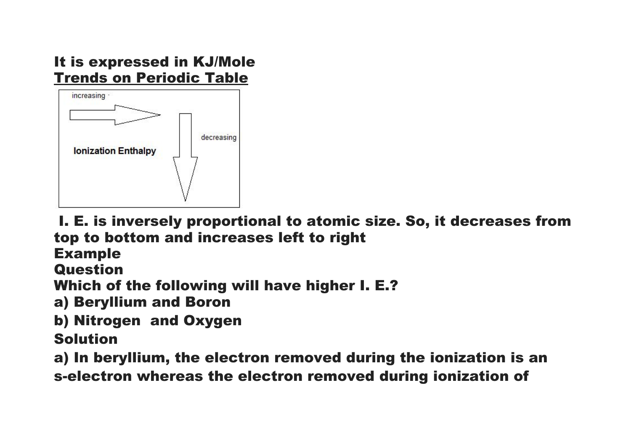### It is expressed in KJ/Mole Trends on Periodic Table



I. E. is inversely proportional to atomic size. So, it decreases from top to bottom and increases left to right

Example

**Question** 

Which of the following will have higher I. E.?

a) Beryllium and Boron

b) Nitrogen and Oxygen

### Solution

a) In beryllium, the electron removed during the ionization is an

s-electron whereas the electron removed during ionization of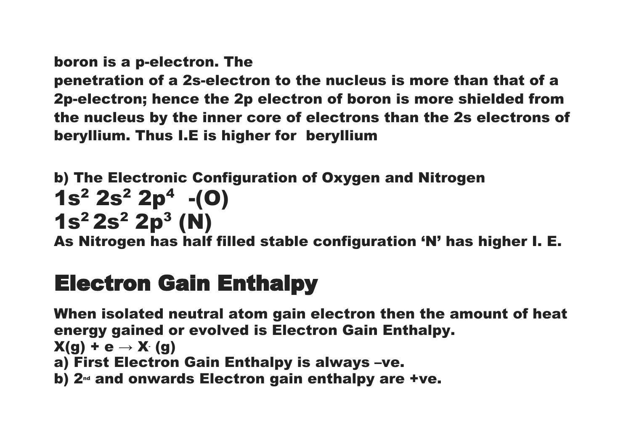boron is a p-electron. The

penetration of a 2s-electron to the nucleus is more than that of a 2p-electron; hence the 2p electron of boron is more shielded from the nucleus by the inner core of electrons than the 2s electrons of beryllium. Thus I.E is higher for beryllium

b) The Electronic Configuration of Oxygen and Nitrogen  $1s^2 2s^2 2p^4$  -(0)  $1s^2 2s^2 2p^3 (N)$ 

As Nitrogen has half filled stable configuration 'N' has higher I. E.

## Electron Gain Enthalpy

When isolated neutral atom gain electron then the amount of heat energy gained or evolved is Electron Gain Enthalpy.  $X(g) + e \rightarrow X(g)$ a) First Electron Gain Enthalpy is always –ve. b)  $2<sup>nd</sup>$  and onwards Electron gain enthalpy are +ve.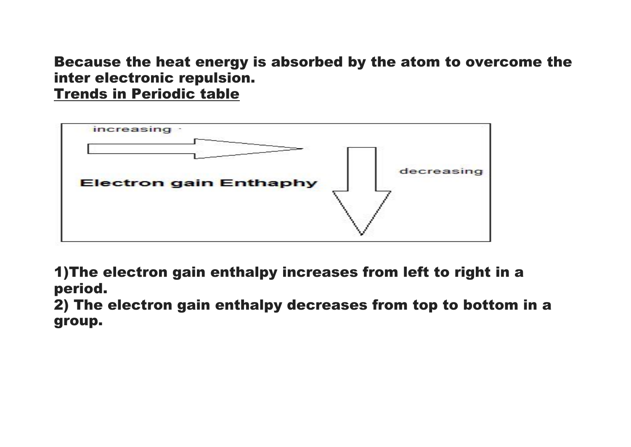Because the heat energy is absorbed by the atom to overcome the inter electronic repulsion.

Trends in Periodic table



1)The electron gain enthalpy increases from left to right in a period.

2) The electron gain enthalpy decreases from top to bottom in a group.